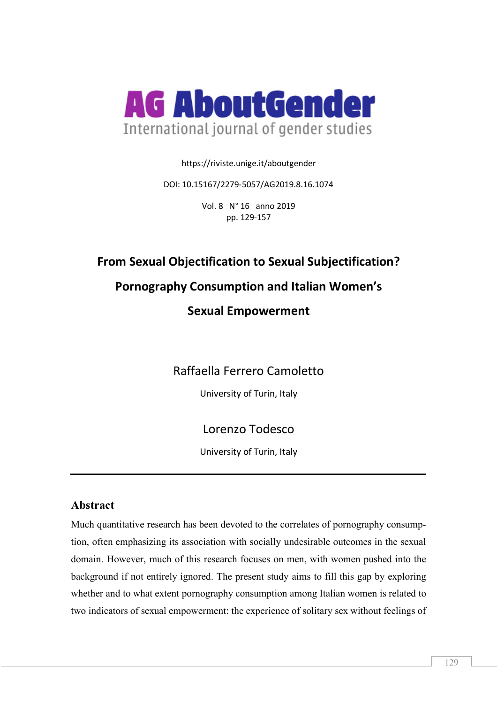

https://riviste.unige.it/aboutgender

DOI: 10.15167/2279-5057/AG2019.8.16.1074

Vol. 8 N° 16 anno 2019 pp. 129-157

# **From Sexual Objectification to Sexual Subjectification?**

## **Pornography Consumption and Italian Women's**

## **Sexual Empowerment**

Raffaella Ferrero Camoletto

University of Turin, Italy

## Lorenzo Todesco

University of Turin, Italy

### **Abstract**

Much quantitative research has been devoted to the correlates of pornography consumption, often emphasizing its association with socially undesirable outcomes in the sexual domain. However, much of this research focuses on men, with women pushed into the background if not entirely ignored. The present study aims to fill this gap by exploring whether and to what extent pornography consumption among Italian women is related to two indicators of sexual empowerment: the experience of solitary sex without feelings of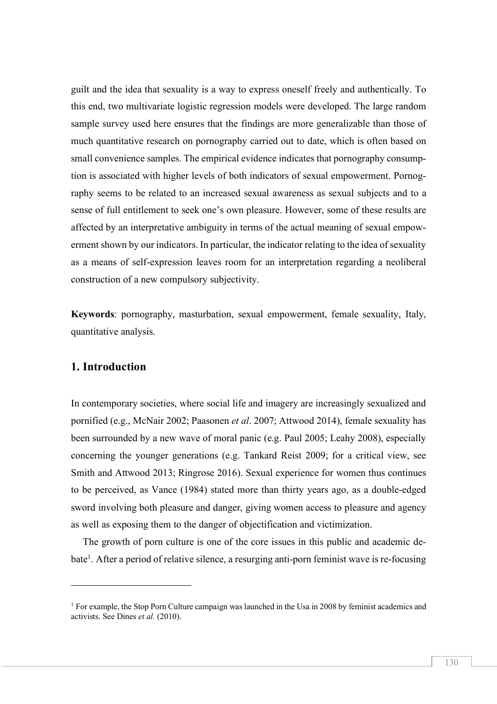guilt and the idea that sexuality is a way to express oneself freely and authentically. To this end, two multivariate logistic regression models were developed. The large random sample survey used here ensures that the findings are more generalizable than those of much quantitative research on pornography carried out to date, which is often based on small convenience samples. The empirical evidence indicates that pornography consumption is associated with higher levels of both indicators of sexual empowerment. Pornography seems to be related to an increased sexual awareness as sexual subjects and to a sense of full entitlement to seek one's own pleasure. However, some of these results are affected by an interpretative ambiguity in terms of the actual meaning of sexual empowerment shown by our indicators. In particular, the indicator relating to the idea of sexuality as a means of self-expression leaves room for an interpretation regarding a neoliberal construction of a new compulsory subjectivity.

**Keywords**: pornography, masturbation, sexual empowerment, female sexuality, Italy, quantitative analysis.

#### **1. Introduction**

l

In contemporary societies, where social life and imagery are increasingly sexualized and pornified (e.g., McNair 2002; Paasonen *et al*. 2007; Attwood 2014), female sexuality has been surrounded by a new wave of moral panic (e.g. Paul 2005; Leahy 2008), especially concerning the younger generations (e.g. Tankard Reist 2009; for a critical view, see Smith and Attwood 2013; Ringrose 2016). Sexual experience for women thus continues to be perceived, as Vance (1984) stated more than thirty years ago, as a double-edged sword involving both pleasure and danger, giving women access to pleasure and agency as well as exposing them to the danger of objectification and victimization.

The growth of porn culture is one of the core issues in this public and academic debate<sup>1</sup>. After a period of relative silence, a resurging anti-porn feminist wave is re-focusing

<sup>&</sup>lt;sup>1</sup> For example, the Stop Porn Culture campaign was launched in the Usa in 2008 by feminist academics and activists. See Dines *et al.* (2010).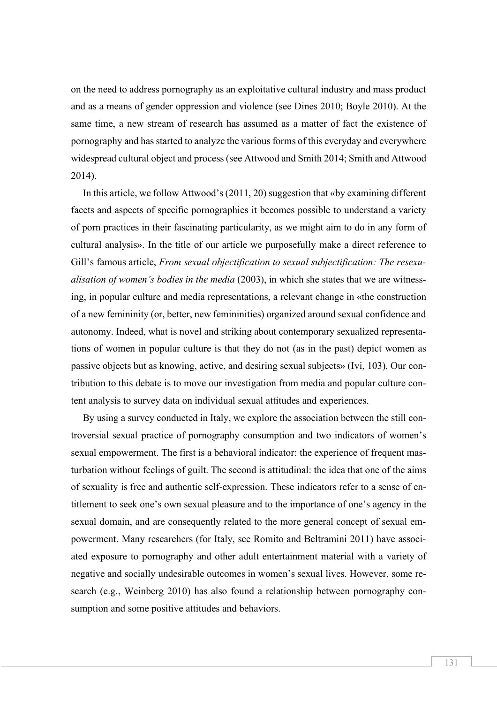on the need to address pornography as an exploitative cultural industry and mass product and as a means of gender oppression and violence (see Dines 2010; Boyle 2010). At the same time, a new stream of research has assumed as a matter of fact the existence of pornography and has started to analyze the various forms of this everyday and everywhere widespread cultural object and process (see Attwood and Smith 2014; Smith and Attwood 2014).

In this article, we follow Attwood's (2011, 20) suggestion that «by examining different facets and aspects of specific pornographies it becomes possible to understand a variety of porn practices in their fascinating particularity, as we might aim to do in any form of cultural analysis». In the title of our article we purposefully make a direct reference to Gill's famous article, *From sexual objectification to sexual subjectification: The resexualisation of women's bodies in the media* (2003), in which she states that we are witnessing, in popular culture and media representations, a relevant change in «the construction of a new femininity (or, better, new femininities) organized around sexual confidence and autonomy. Indeed, what is novel and striking about contemporary sexualized representations of women in popular culture is that they do not (as in the past) depict women as passive objects but as knowing, active, and desiring sexual subjects» (Ivi, 103). Our contribution to this debate is to move our investigation from media and popular culture content analysis to survey data on individual sexual attitudes and experiences.

By using a survey conducted in Italy, we explore the association between the still controversial sexual practice of pornography consumption and two indicators of women's sexual empowerment. The first is a behavioral indicator: the experience of frequent masturbation without feelings of guilt. The second is attitudinal: the idea that one of the aims of sexuality is free and authentic self-expression. These indicators refer to a sense of entitlement to seek one's own sexual pleasure and to the importance of one's agency in the sexual domain, and are consequently related to the more general concept of sexual empowerment. Many researchers (for Italy, see Romito and Beltramini 2011) have associated exposure to pornography and other adult entertainment material with a variety of negative and socially undesirable outcomes in women's sexual lives. However, some research (e.g., Weinberg 2010) has also found a relationship between pornography consumption and some positive attitudes and behaviors.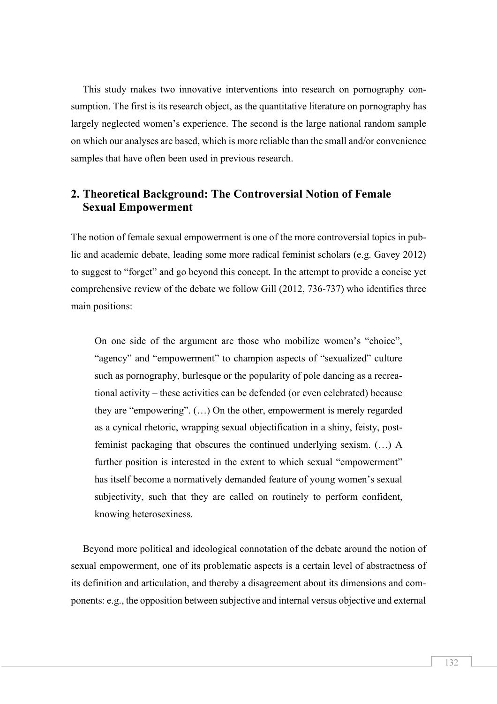This study makes two innovative interventions into research on pornography consumption. The first is its research object, as the quantitative literature on pornography has largely neglected women's experience. The second is the large national random sample on which our analyses are based, which is more reliable than the small and/or convenience samples that have often been used in previous research.

### **2. Theoretical Background: The Controversial Notion of Female Sexual Empowerment**

The notion of female sexual empowerment is one of the more controversial topics in public and academic debate, leading some more radical feminist scholars (e.g. Gavey 2012) to suggest to "forget" and go beyond this concept. In the attempt to provide a concise yet comprehensive review of the debate we follow Gill (2012, 736-737) who identifies three main positions:

On one side of the argument are those who mobilize women's "choice", "agency" and "empowerment" to champion aspects of "sexualized" culture such as pornography, burlesque or the popularity of pole dancing as a recreational activity – these activities can be defended (or even celebrated) because they are "empowering". (…) On the other, empowerment is merely regarded as a cynical rhetoric, wrapping sexual objectification in a shiny, feisty, postfeminist packaging that obscures the continued underlying sexism. (…) A further position is interested in the extent to which sexual "empowerment" has itself become a normatively demanded feature of young women's sexual subjectivity, such that they are called on routinely to perform confident, knowing heterosexiness.

Beyond more political and ideological connotation of the debate around the notion of sexual empowerment, one of its problematic aspects is a certain level of abstractness of its definition and articulation, and thereby a disagreement about its dimensions and components: e.g., the opposition between subjective and internal versus objective and external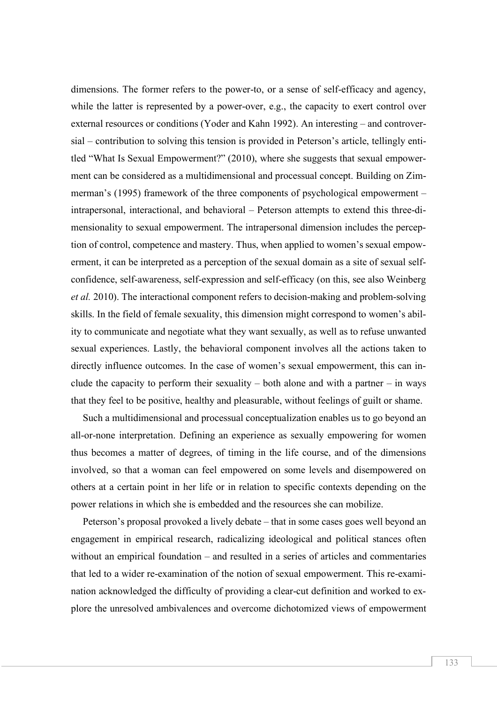dimensions. The former refers to the power-to, or a sense of self-efficacy and agency, while the latter is represented by a power-over, e.g., the capacity to exert control over external resources or conditions (Yoder and Kahn 1992). An interesting – and controversial – contribution to solving this tension is provided in Peterson's article, tellingly entitled "What Is Sexual Empowerment?" (2010), where she suggests that sexual empowerment can be considered as a multidimensional and processual concept. Building on Zimmerman's (1995) framework of the three components of psychological empowerment – intrapersonal, interactional, and behavioral – Peterson attempts to extend this three-dimensionality to sexual empowerment. The intrapersonal dimension includes the perception of control, competence and mastery. Thus, when applied to women's sexual empowerment, it can be interpreted as a perception of the sexual domain as a site of sexual selfconfidence, self-awareness, self-expression and self-efficacy (on this, see also Weinberg *et al.* 2010). The interactional component refers to decision-making and problem-solving skills. In the field of female sexuality, this dimension might correspond to women's ability to communicate and negotiate what they want sexually, as well as to refuse unwanted sexual experiences. Lastly, the behavioral component involves all the actions taken to directly influence outcomes. In the case of women's sexual empowerment, this can include the capacity to perform their sexuality – both alone and with a partner – in ways that they feel to be positive, healthy and pleasurable, without feelings of guilt or shame.

Such a multidimensional and processual conceptualization enables us to go beyond an all-or-none interpretation. Defining an experience as sexually empowering for women thus becomes a matter of degrees, of timing in the life course, and of the dimensions involved, so that a woman can feel empowered on some levels and disempowered on others at a certain point in her life or in relation to specific contexts depending on the power relations in which she is embedded and the resources she can mobilize.

Peterson's proposal provoked a lively debate – that in some cases goes well beyond an engagement in empirical research, radicalizing ideological and political stances often without an empirical foundation – and resulted in a series of articles and commentaries that led to a wider re-examination of the notion of sexual empowerment. This re-examination acknowledged the difficulty of providing a clear-cut definition and worked to explore the unresolved ambivalences and overcome dichotomized views of empowerment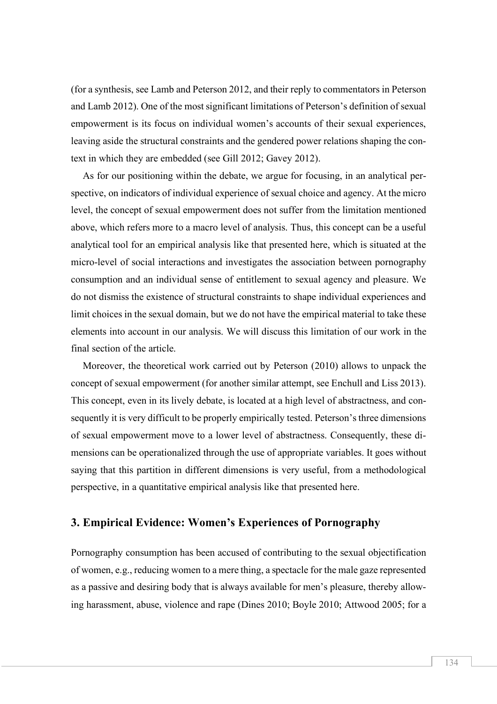(for a synthesis, see Lamb and Peterson 2012, and their reply to commentators in Peterson and Lamb 2012). One of the most significant limitations of Peterson's definition of sexual empowerment is its focus on individual women's accounts of their sexual experiences, leaving aside the structural constraints and the gendered power relations shaping the context in which they are embedded (see Gill 2012; Gavey 2012).

As for our positioning within the debate, we argue for focusing, in an analytical perspective, on indicators of individual experience of sexual choice and agency. At the micro level, the concept of sexual empowerment does not suffer from the limitation mentioned above, which refers more to a macro level of analysis. Thus, this concept can be a useful analytical tool for an empirical analysis like that presented here, which is situated at the micro-level of social interactions and investigates the association between pornography consumption and an individual sense of entitlement to sexual agency and pleasure. We do not dismiss the existence of structural constraints to shape individual experiences and limit choices in the sexual domain, but we do not have the empirical material to take these elements into account in our analysis. We will discuss this limitation of our work in the final section of the article.

Moreover, the theoretical work carried out by Peterson (2010) allows to unpack the concept of sexual empowerment (for another similar attempt, see Enchull and Liss 2013). This concept, even in its lively debate, is located at a high level of abstractness, and consequently it is very difficult to be properly empirically tested. Peterson's three dimensions of sexual empowerment move to a lower level of abstractness. Consequently, these dimensions can be operationalized through the use of appropriate variables. It goes without saying that this partition in different dimensions is very useful, from a methodological perspective, in a quantitative empirical analysis like that presented here.

### **3. Empirical Evidence: Women's Experiences of Pornography**

Pornography consumption has been accused of contributing to the sexual objectification of women, e.g., reducing women to a mere thing, a spectacle for the male gaze represented as a passive and desiring body that is always available for men's pleasure, thereby allowing harassment, abuse, violence and rape (Dines 2010; Boyle 2010; Attwood 2005; for a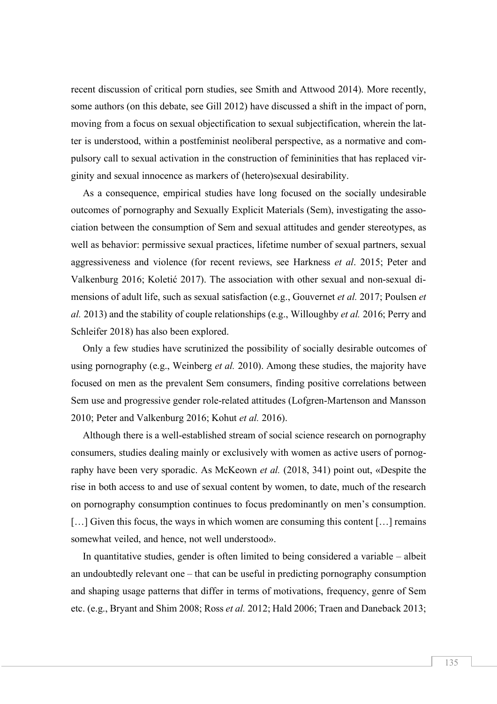recent discussion of critical porn studies, see Smith and Attwood 2014). More recently, some authors (on this debate, see Gill 2012) have discussed a shift in the impact of porn, moving from a focus on sexual objectification to sexual subjectification, wherein the latter is understood, within a postfeminist neoliberal perspective, as a normative and compulsory call to sexual activation in the construction of femininities that has replaced virginity and sexual innocence as markers of (hetero)sexual desirability.

As a consequence, empirical studies have long focused on the socially undesirable outcomes of pornography and Sexually Explicit Materials (Sem), investigating the association between the consumption of Sem and sexual attitudes and gender stereotypes, as well as behavior: permissive sexual practices, lifetime number of sexual partners, sexual aggressiveness and violence (for recent reviews, see Harkness *et al*. 2015; Peter and Valkenburg 2016; Koletić 2017). The association with other sexual and non-sexual dimensions of adult life, such as sexual satisfaction (e.g., Gouvernet *et al.* 2017; Poulsen *et al.* 2013) and the stability of couple relationships (e.g., Willoughby *et al.* 2016; Perry and Schleifer 2018) has also been explored.

Only a few studies have scrutinized the possibility of socially desirable outcomes of using pornography (e.g., Weinberg *et al.* 2010). Among these studies, the majority have focused on men as the prevalent Sem consumers, finding positive correlations between Sem use and progressive gender role-related attitudes (Lofgren-Martenson and Mansson 2010; Peter and Valkenburg 2016; Kohut *et al.* 2016).

Although there is a well-established stream of social science research on pornography consumers, studies dealing mainly or exclusively with women as active users of pornography have been very sporadic. As McKeown *et al.* (2018, 341) point out, «Despite the rise in both access to and use of sexual content by women, to date, much of the research on pornography consumption continues to focus predominantly on men's consumption. [...] Given this focus, the ways in which women are consuming this content [...] remains somewhat veiled, and hence, not well understood».

In quantitative studies, gender is often limited to being considered a variable – albeit an undoubtedly relevant one – that can be useful in predicting pornography consumption and shaping usage patterns that differ in terms of motivations, frequency, genre of Sem etc. (e.g., Bryant and Shim 2008; Ross *et al.* 2012; Hald 2006; Traen and Daneback 2013;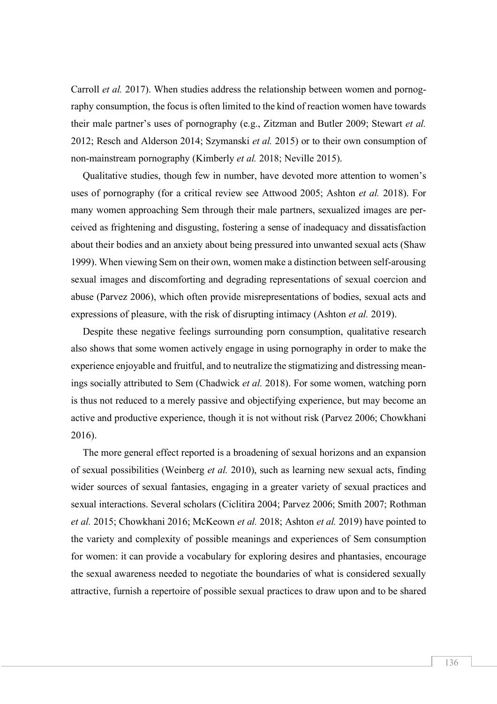Carroll *et al.* 2017). When studies address the relationship between women and pornography consumption, the focus is often limited to the kind of reaction women have towards their male partner's uses of pornography (e.g., Zitzman and Butler 2009; Stewart *et al.* 2012; Resch and Alderson 2014; Szymanski *et al.* 2015) or to their own consumption of non-mainstream pornography (Kimberly *et al.* 2018; Neville 2015).

Qualitative studies, though few in number, have devoted more attention to women's uses of pornography (for a critical review see Attwood 2005; Ashton *et al.* 2018). For many women approaching Sem through their male partners, sexualized images are perceived as frightening and disgusting, fostering a sense of inadequacy and dissatisfaction about their bodies and an anxiety about being pressured into unwanted sexual acts (Shaw 1999). When viewing Sem on their own, women make a distinction between self-arousing sexual images and discomforting and degrading representations of sexual coercion and abuse (Parvez 2006), which often provide misrepresentations of bodies, sexual acts and expressions of pleasure, with the risk of disrupting intimacy (Ashton *et al.* 2019).

Despite these negative feelings surrounding porn consumption, qualitative research also shows that some women actively engage in using pornography in order to make the experience enjoyable and fruitful, and to neutralize the stigmatizing and distressing meanings socially attributed to Sem (Chadwick *et al.* 2018). For some women, watching porn is thus not reduced to a merely passive and objectifying experience, but may become an active and productive experience, though it is not without risk (Parvez 2006; Chowkhani 2016).

The more general effect reported is a broadening of sexual horizons and an expansion of sexual possibilities (Weinberg *et al.* 2010), such as learning new sexual acts, finding wider sources of sexual fantasies, engaging in a greater variety of sexual practices and sexual interactions. Several scholars (Ciclitira 2004; Parvez 2006; Smith 2007; Rothman *et al.* 2015; Chowkhani 2016; McKeown *et al.* 2018; Ashton *et al.* 2019) have pointed to the variety and complexity of possible meanings and experiences of Sem consumption for women: it can provide a vocabulary for exploring desires and phantasies, encourage the sexual awareness needed to negotiate the boundaries of what is considered sexually attractive, furnish a repertoire of possible sexual practices to draw upon and to be shared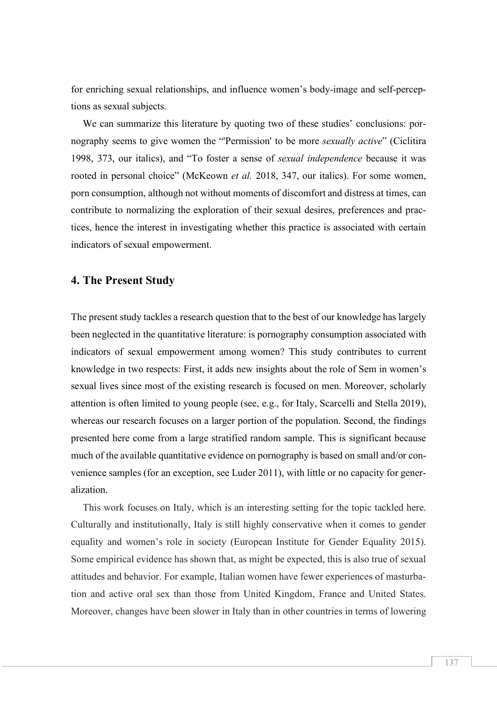for enriching sexual relationships, and influence women's body-image and self-perceptions as sexual subjects.

We can summarize this literature by quoting two of these studies' conclusions: pornography seems to give women the "'Permission' to be more *sexually active*" (Ciclitira 1998, 373, our italics), and "To foster a sense of *sexual independence* because it was rooted in personal choice" (McKeown *et al.* 2018, 347, our italics). For some women, porn consumption, although not without moments of discomfort and distress at times, can contribute to normalizing the exploration of their sexual desires, preferences and practices, hence the interest in investigating whether this practice is associated with certain indicators of sexual empowerment.

### **4. The Present Study**

The present study tackles a research question that to the best of our knowledge has largely been neglected in the quantitative literature: is pornography consumption associated with indicators of sexual empowerment among women? This study contributes to current knowledge in two respects: First, it adds new insights about the role of Sem in women's sexual lives since most of the existing research is focused on men. Moreover, scholarly attention is often limited to young people (see, e.g., for Italy, Scarcelli and Stella 2019), whereas our research focuses on a larger portion of the population. Second, the findings presented here come from a large stratified random sample. This is significant because much of the available quantitative evidence on pornography is based on small and/or convenience samples (for an exception, see Luder 2011), with little or no capacity for generalization.

This work focuses on Italy, which is an interesting setting for the topic tackled here. Culturally and institutionally, Italy is still highly conservative when it comes to gender equality and women's role in society (European Institute for Gender Equality 2015). Some empirical evidence has shown that, as might be expected, this is also true of sexual attitudes and behavior. For example, Italian women have fewer experiences of masturbation and active oral sex than those from United Kingdom, France and United States. Moreover, changes have been slower in Italy than in other countries in terms of lowering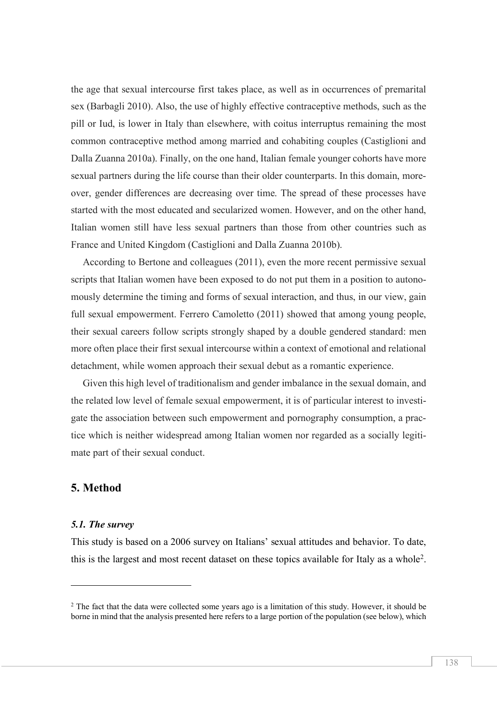the age that sexual intercourse first takes place, as well as in occurrences of premarital sex (Barbagli 2010). Also, the use of highly effective contraceptive methods, such as the pill or Iud, is lower in Italy than elsewhere, with coitus interruptus remaining the most common contraceptive method among married and cohabiting couples (Castiglioni and Dalla Zuanna 2010a). Finally, on the one hand, Italian female younger cohorts have more sexual partners during the life course than their older counterparts. In this domain, moreover, gender differences are decreasing over time. The spread of these processes have started with the most educated and secularized women. However, and on the other hand, Italian women still have less sexual partners than those from other countries such as France and United Kingdom (Castiglioni and Dalla Zuanna 2010b).

According to Bertone and colleagues (2011), even the more recent permissive sexual scripts that Italian women have been exposed to do not put them in a position to autonomously determine the timing and forms of sexual interaction, and thus, in our view, gain full sexual empowerment. Ferrero Camoletto (2011) showed that among young people, their sexual careers follow scripts strongly shaped by a double gendered standard: men more often place their first sexual intercourse within a context of emotional and relational detachment, while women approach their sexual debut as a romantic experience.

Given this high level of traditionalism and gender imbalance in the sexual domain, and the related low level of female sexual empowerment, it is of particular interest to investigate the association between such empowerment and pornography consumption, a practice which is neither widespread among Italian women nor regarded as a socially legitimate part of their sexual conduct.

#### **5. Method**

#### *5.1. The survey*

l

This study is based on a 2006 survey on Italians' sexual attitudes and behavior. To date, this is the largest and most recent dataset on these topics available for Italy as a whole2.

<sup>&</sup>lt;sup>2</sup> The fact that the data were collected some years ago is a limitation of this study. However, it should be borne in mind that the analysis presented here refers to a large portion of the population (see below), which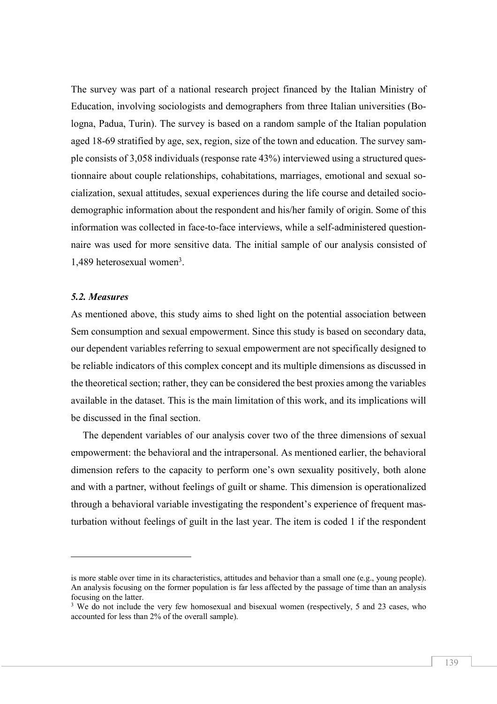The survey was part of a national research project financed by the Italian Ministry of Education, involving sociologists and demographers from three Italian universities (Bologna, Padua, Turin). The survey is based on a random sample of the Italian population aged 18-69 stratified by age, sex, region, size of the town and education. The survey sample consists of 3,058 individuals (response rate 43%) interviewed using a structured questionnaire about couple relationships, cohabitations, marriages, emotional and sexual socialization, sexual attitudes, sexual experiences during the life course and detailed sociodemographic information about the respondent and his/her family of origin. Some of this information was collected in face-to-face interviews, while a self-administered questionnaire was used for more sensitive data. The initial sample of our analysis consisted of 1,489 heterosexual women<sup>3</sup>.

#### *5.2. Measures*

 $\overline{a}$ 

As mentioned above, this study aims to shed light on the potential association between Sem consumption and sexual empowerment. Since this study is based on secondary data, our dependent variables referring to sexual empowerment are not specifically designed to be reliable indicators of this complex concept and its multiple dimensions as discussed in the theoretical section; rather, they can be considered the best proxies among the variables available in the dataset. This is the main limitation of this work, and its implications will be discussed in the final section.

The dependent variables of our analysis cover two of the three dimensions of sexual empowerment: the behavioral and the intrapersonal. As mentioned earlier, the behavioral dimension refers to the capacity to perform one's own sexuality positively, both alone and with a partner, without feelings of guilt or shame. This dimension is operationalized through a behavioral variable investigating the respondent's experience of frequent masturbation without feelings of guilt in the last year. The item is coded 1 if the respondent

is more stable over time in its characteristics, attitudes and behavior than a small one (e.g., young people). An analysis focusing on the former population is far less affected by the passage of time than an analysis focusing on the latter.

<sup>&</sup>lt;sup>3</sup> We do not include the very few homosexual and bisexual women (respectively, 5 and 23 cases, who accounted for less than 2% of the overall sample).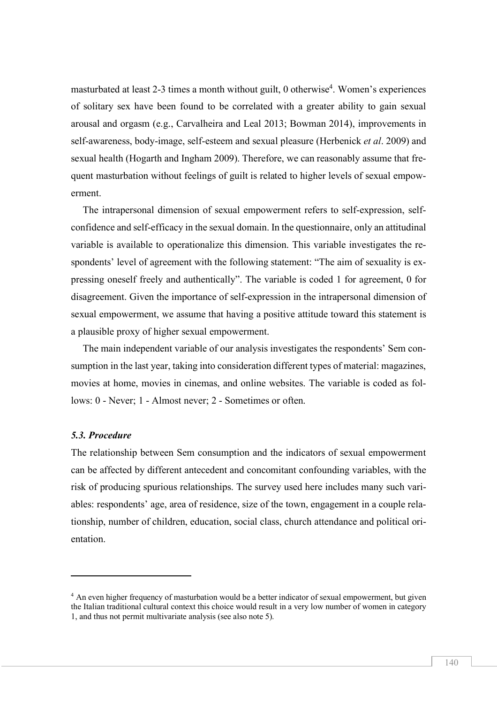masturbated at least 2-3 times a month without guilt, 0 otherwise<sup>4</sup>. Women's experiences of solitary sex have been found to be correlated with a greater ability to gain sexual arousal and orgasm (e.g., Carvalheira and Leal 2013; Bowman 2014), improvements in self-awareness, body-image, self-esteem and sexual pleasure (Herbenick *et al*. 2009) and sexual health (Hogarth and Ingham 2009). Therefore, we can reasonably assume that frequent masturbation without feelings of guilt is related to higher levels of sexual empowerment.

The intrapersonal dimension of sexual empowerment refers to self-expression, selfconfidence and self-efficacy in the sexual domain. In the questionnaire, only an attitudinal variable is available to operationalize this dimension. This variable investigates the respondents' level of agreement with the following statement: "The aim of sexuality is expressing oneself freely and authentically". The variable is coded 1 for agreement, 0 for disagreement. Given the importance of self-expression in the intrapersonal dimension of sexual empowerment, we assume that having a positive attitude toward this statement is a plausible proxy of higher sexual empowerment.

The main independent variable of our analysis investigates the respondents' Sem consumption in the last year, taking into consideration different types of material: magazines, movies at home, movies in cinemas, and online websites. The variable is coded as follows: 0 - Never; 1 - Almost never; 2 - Sometimes or often.

#### *5.3. Procedure*

 $\overline{a}$ 

The relationship between Sem consumption and the indicators of sexual empowerment can be affected by different antecedent and concomitant confounding variables, with the risk of producing spurious relationships. The survey used here includes many such variables: respondents' age, area of residence, size of the town, engagement in a couple relationship, number of children, education, social class, church attendance and political orientation.

<sup>4</sup> An even higher frequency of masturbation would be a better indicator of sexual empowerment, but given the Italian traditional cultural context this choice would result in a very low number of women in category 1, and thus not permit multivariate analysis (see also note 5).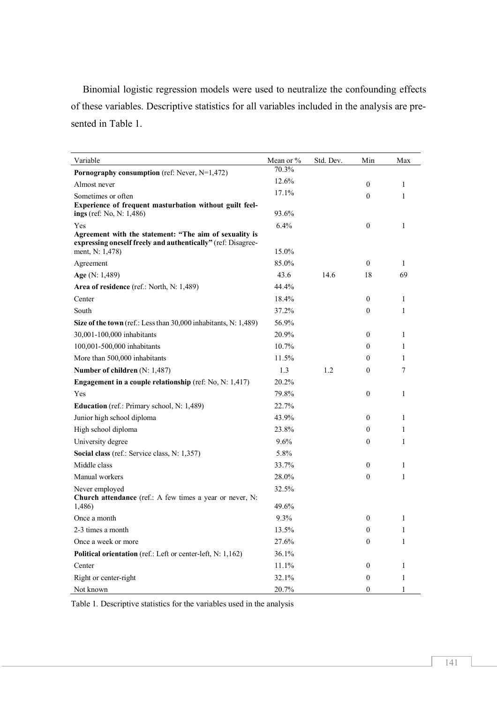Binomial logistic regression models were used to neutralize the confounding effects of these variables. Descriptive statistics for all variables included in the analysis are presented in Table 1.

| Variable                                                                                                                      | Mean or %      | Std. Dev. | Min              | Max            |
|-------------------------------------------------------------------------------------------------------------------------------|----------------|-----------|------------------|----------------|
| Pornography consumption (ref: Never, N=1,472)                                                                                 | 70.3%          |           |                  |                |
| Almost never                                                                                                                  | 12.6%          |           | $\mathbf{0}$     | 1              |
| Sometimes or often                                                                                                            | 17.1%          |           | $\theta$         | 1              |
| Experience of frequent masturbation without guilt feel-                                                                       |                |           |                  |                |
| ings (ref: No, N: 1,486)                                                                                                      | 93.6%          |           |                  |                |
| Yes<br>Agreement with the statement: "The aim of sexuality is<br>expressing oneself freely and authentically" (ref: Disagree- | 6.4%           |           | $\theta$         | 1              |
| ment, N: 1,478)                                                                                                               | 15.0%          |           |                  |                |
| Agreement                                                                                                                     | 85.0%          |           | $\theta$         | 1              |
| Age (N: 1,489)                                                                                                                | 43.6           | 14.6      | 18               | 69             |
| Area of residence (ref.: North, N: 1,489)                                                                                     | 44.4%          |           |                  |                |
| Center                                                                                                                        | 18.4%          |           | $\mathbf{0}$     | 1              |
| South                                                                                                                         | 37.2%          |           | $\theta$         | 1              |
| Size of the town (ref.: Less than 30,000 inhabitants, N: 1,489)                                                               | 56.9%          |           |                  |                |
| 30,001-100,000 inhabitants                                                                                                    | 20.9%          |           | $\mathbf{0}$     | 1              |
| 100,001-500,000 inhabitants                                                                                                   | 10.7%          |           | 0                | 1              |
| More than 500,000 inhabitants                                                                                                 | 11.5%          |           | $\overline{0}$   | 1              |
| Number of children (N: 1,487)                                                                                                 | 1.3            | 1.2       | $\boldsymbol{0}$ | $\overline{7}$ |
| <b>Engagement in a couple relationship</b> (ref: No, N: $1,417$ )                                                             | 20.2%          |           |                  |                |
| Yes                                                                                                                           | 79.8%          |           | $\boldsymbol{0}$ | 1              |
| Education (ref.: Primary school, N: 1,489)                                                                                    | 22.7%          |           |                  |                |
| Junior high school diploma                                                                                                    | 43.9%          |           | $\mathbf{0}$     | 1              |
| High school diploma                                                                                                           | 23.8%          |           | 0                | 1              |
| University degree                                                                                                             | 9.6%           |           | $\boldsymbol{0}$ | 1              |
| Social class (ref.: Service class, N: 1,357)                                                                                  | 5.8%           |           |                  |                |
| Middle class                                                                                                                  | 33.7%          |           | $\bf{0}$         | 1              |
| Manual workers                                                                                                                | 28.0%          |           | $\boldsymbol{0}$ | $\mathbf{1}$   |
| Never employed                                                                                                                | 32.5%          |           |                  |                |
| Church attendance (ref.: A few times a year or never, N:                                                                      | 49.6%          |           |                  |                |
| 1,486)<br>Once a month                                                                                                        | 9.3%           |           | $\boldsymbol{0}$ | $\mathbf{1}$   |
|                                                                                                                               |                |           | $\boldsymbol{0}$ | 1              |
| 2-3 times a month<br>Once a week or more                                                                                      | 13.5%<br>27.6% |           | $\boldsymbol{0}$ | 1              |
|                                                                                                                               | 36.1%          |           |                  |                |
| Political orientation (ref.: Left or center-left, N: 1,162)<br>Center                                                         | 11.1%          |           | 0                | 1              |
| Right or center-right                                                                                                         | 32.1%          |           | $\boldsymbol{0}$ | 1              |
| Not known                                                                                                                     | 20.7%          |           | 0                |                |

Table 1. Descriptive statistics for the variables used in the analysis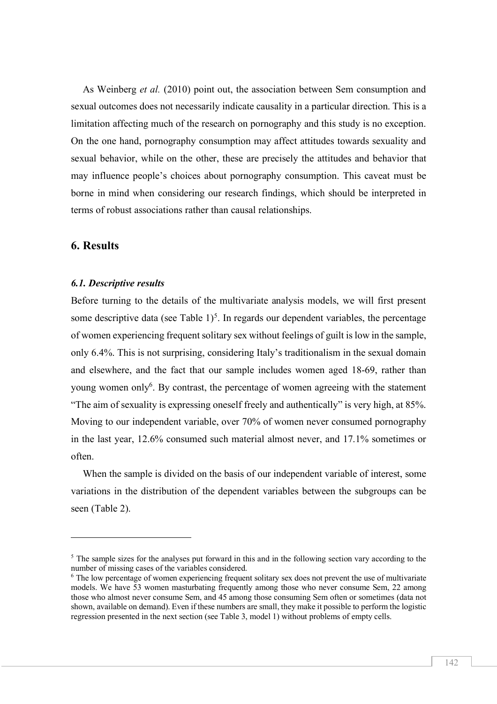As Weinberg *et al.* (2010) point out, the association between Sem consumption and sexual outcomes does not necessarily indicate causality in a particular direction. This is a limitation affecting much of the research on pornography and this study is no exception. On the one hand, pornography consumption may affect attitudes towards sexuality and sexual behavior, while on the other, these are precisely the attitudes and behavior that may influence people's choices about pornography consumption. This caveat must be borne in mind when considering our research findings, which should be interpreted in terms of robust associations rather than causal relationships.

#### **6. Results**

l

#### *6.1. Descriptive results*

Before turning to the details of the multivariate analysis models, we will first present some descriptive data (see Table  $1$ )<sup>5</sup>. In regards our dependent variables, the percentage of women experiencing frequent solitary sex without feelings of guilt is low in the sample, only 6.4%. This is not surprising, considering Italy's traditionalism in the sexual domain and elsewhere, and the fact that our sample includes women aged 18-69, rather than young women only<sup>6</sup>. By contrast, the percentage of women agreeing with the statement "The aim of sexuality is expressing oneself freely and authentically" is very high, at 85%. Moving to our independent variable, over 70% of women never consumed pornography in the last year, 12.6% consumed such material almost never, and 17.1% sometimes or often.

When the sample is divided on the basis of our independent variable of interest, some variations in the distribution of the dependent variables between the subgroups can be seen (Table 2).

<sup>&</sup>lt;sup>5</sup> The sample sizes for the analyses put forward in this and in the following section vary according to the number of missing cases of the variables considered.

<sup>&</sup>lt;sup>6</sup> The low percentage of women experiencing frequent solitary sex does not prevent the use of multivariate models. We have 53 women masturbating frequently among those who never consume Sem, 22 among those who almost never consume Sem, and 45 among those consuming Sem often or sometimes (data not shown, available on demand). Even if these numbers are small, they make it possible to perform the logistic regression presented in the next section (see Table 3, model 1) without problems of empty cells.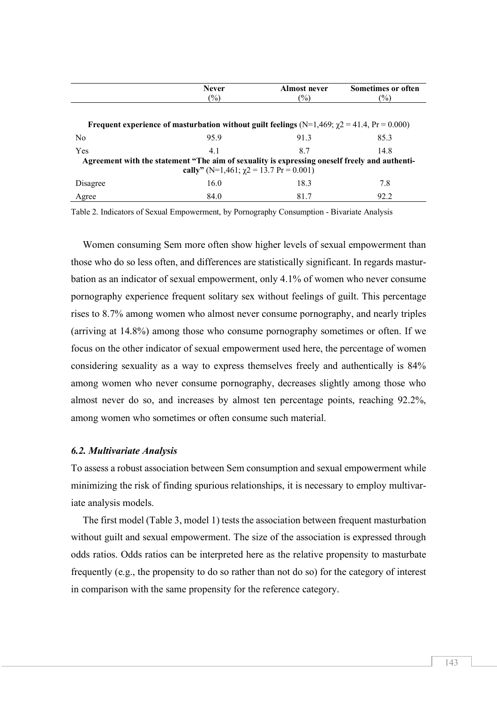|                                                                                                         | <b>Never</b> | Almost never | <b>Sometimes or often</b> |  |  |  |  |  |
|---------------------------------------------------------------------------------------------------------|--------------|--------------|---------------------------|--|--|--|--|--|
|                                                                                                         | $(\%)$       | $(\%)$       | $(\%)$                    |  |  |  |  |  |
|                                                                                                         |              |              |                           |  |  |  |  |  |
| Frequent experience of masturbation without guilt feelings ( $N=1,469$ ; $\gamma$ 2 = 41.4, Pr = 0.000) |              |              |                           |  |  |  |  |  |
| N <sub>0</sub>                                                                                          | 959          | 913          | 85.3                      |  |  |  |  |  |
| Yes                                                                                                     | 4.1          | 87           | 14.8                      |  |  |  |  |  |
| Agreement with the statement "The aim of sexuality is expressing oneself freely and authenti-           |              |              |                           |  |  |  |  |  |
| cally" (N=1,461; $\gamma$ 2 = 13.7 Pr = 0.001)                                                          |              |              |                           |  |  |  |  |  |
| Disagree                                                                                                | 16.0         | 18.3         | 7.8                       |  |  |  |  |  |
| Agree                                                                                                   | 84.0         | 81.7         | 92.2                      |  |  |  |  |  |

Table 2. Indicators of Sexual Empowerment, by Pornography Consumption - Bivariate Analysis

Women consuming Sem more often show higher levels of sexual empowerment than those who do so less often, and differences are statistically significant. In regards masturbation as an indicator of sexual empowerment, only 4.1% of women who never consume pornography experience frequent solitary sex without feelings of guilt. This percentage rises to 8.7% among women who almost never consume pornography, and nearly triples (arriving at 14.8%) among those who consume pornography sometimes or often. If we focus on the other indicator of sexual empowerment used here, the percentage of women considering sexuality as a way to express themselves freely and authentically is 84% among women who never consume pornography, decreases slightly among those who almost never do so, and increases by almost ten percentage points, reaching 92.2%, among women who sometimes or often consume such material.

#### *6.2. Multivariate Analysis*

To assess a robust association between Sem consumption and sexual empowerment while minimizing the risk of finding spurious relationships, it is necessary to employ multivariate analysis models.

The first model (Table 3, model 1) tests the association between frequent masturbation without guilt and sexual empowerment. The size of the association is expressed through odds ratios. Odds ratios can be interpreted here as the relative propensity to masturbate frequently (e.g., the propensity to do so rather than not do so) for the category of interest in comparison with the same propensity for the reference category.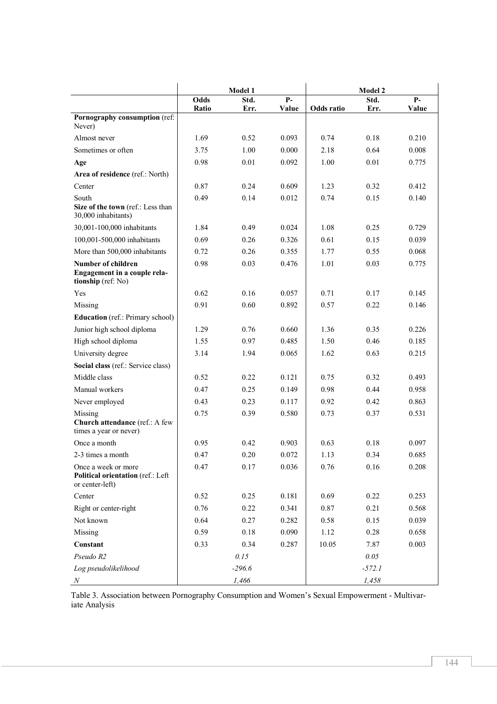|                                                                                 | Model 1 |          |       | <b>Model 2</b> |          |       |
|---------------------------------------------------------------------------------|---------|----------|-------|----------------|----------|-------|
|                                                                                 | Odds    | Std.     | $P-$  |                | Std.     | $P-$  |
| Pornography consumption (ref:                                                   | Ratio   | Err.     | Value | Odds ratio     | Err.     | Value |
| Never)                                                                          |         |          |       |                |          |       |
| Almost never                                                                    | 1.69    | 0.52     | 0.093 | 0.74           | 0.18     | 0.210 |
| Sometimes or often                                                              | 3.75    | 1.00     | 0.000 | 2.18           | 0.64     | 0.008 |
| Age                                                                             | 0.98    | 0.01     | 0.092 | 1.00           | 0.01     | 0.775 |
| Area of residence (ref.: North)                                                 |         |          |       |                |          |       |
| Center                                                                          | 0.87    | 0.24     | 0.609 | 1.23           | 0.32     | 0.412 |
| South<br>Size of the town (ref.: Less than<br>30,000 inhabitants)               | 0.49    | 0.14     | 0.012 | 0.74           | 0.15     | 0.140 |
| 30,001-100,000 inhabitants                                                      | 1.84    | 0.49     | 0.024 | 1.08           | 0.25     | 0.729 |
| 100,001-500,000 inhabitants                                                     | 0.69    | 0.26     | 0.326 | 0.61           | 0.15     | 0.039 |
| More than 500,000 inhabitants                                                   | 0.72    | 0.26     | 0.355 | 1.77           | 0.55     | 0.068 |
| <b>Number of children</b><br>Engagement in a couple rela-<br>tionship (ref: No) | 0.98    | 0.03     | 0.476 | 1.01           | 0.03     | 0.775 |
| Yes                                                                             | 0.62    | 0.16     | 0.057 | 0.71           | 0.17     | 0.145 |
| Missing                                                                         | 0.91    | 0.60     | 0.892 | 0.57           | 0.22     | 0.146 |
| <b>Education</b> (ref.: Primary school)                                         |         |          |       |                |          |       |
| Junior high school diploma                                                      | 1.29    | 0.76     | 0.660 | 1.36           | 0.35     | 0.226 |
| High school diploma                                                             | 1.55    | 0.97     | 0.485 | 1.50           | 0.46     | 0.185 |
| University degree                                                               | 3.14    | 1.94     | 0.065 | 1.62           | 0.63     | 0.215 |
| Social class (ref.: Service class)                                              |         |          |       |                |          |       |
| Middle class                                                                    | 0.52    | 0.22     | 0.121 | 0.75           | 0.32     | 0.493 |
| Manual workers                                                                  | 0.47    | 0.25     | 0.149 | 0.98           | 0.44     | 0.958 |
| Never employed                                                                  | 0.43    | 0.23     | 0.117 | 0.92           | 0.42     | 0.863 |
| Missing<br>Church attendance (ref.: A few<br>times a year or never)             | 0.75    | 0.39     | 0.580 | 0.73           | 0.37     | 0.531 |
| Once a month                                                                    | 0.95    | 0.42     | 0.903 | 0.63           | 0.18     | 0.097 |
| 2-3 times a month                                                               | 0.47    | 0.20     | 0.072 | 1.13           | 0.34     | 0.685 |
| Once a week or more<br>Political orientation (ref.: Left<br>or center-left)     | 0.47    | 0.17     | 0.036 | 0.76           | 0.16     | 0.208 |
| Center                                                                          | 0.52    | 0.25     | 0.181 | 0.69           | 0.22     | 0.253 |
| Right or center-right                                                           | 0.76    | 0.22     | 0.341 | 0.87           | 0.21     | 0.568 |
| Not known                                                                       | 0.64    | 0.27     | 0.282 | 0.58           | 0.15     | 0.039 |
| Missing                                                                         | 0.59    | 0.18     | 0.090 | 1.12           | 0.28     | 0.658 |
| Constant                                                                        | 0.33    | 0.34     | 0.287 | 10.05          | 7.87     | 0.003 |
| Pseudo R2                                                                       |         | 0.15     |       |                | 0.05     |       |
| Log pseudolikelihood                                                            |         | $-296.6$ |       |                | $-572.1$ |       |
| Ν                                                                               |         | 1,466    |       |                | 1,458    |       |

Table 3. Association between Pornography Consumption and Women's Sexual Empowerment - Multivariate Analysis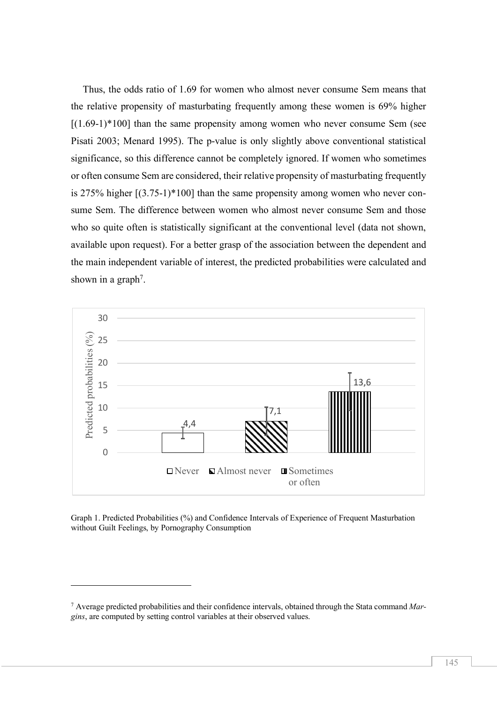Thus, the odds ratio of 1.69 for women who almost never consume Sem means that the relative propensity of masturbating frequently among these women is 69% higher  $[(1.69-1)*100]$  than the same propensity among women who never consume Sem (see Pisati 2003; Menard 1995). The p-value is only slightly above conventional statistical significance, so this difference cannot be completely ignored. If women who sometimes or often consume Sem are considered, their relative propensity of masturbating frequently is 275% higher [(3.75-1)\*100] than the same propensity among women who never consume Sem. The difference between women who almost never consume Sem and those who so quite often is statistically significant at the conventional level (data not shown, available upon request). For a better grasp of the association between the dependent and the main independent variable of interest, the predicted probabilities were calculated and shown in a graph<sup>7</sup>.



Graph 1. Predicted Probabilities (%) and Confidence Intervals of Experience of Frequent Masturbation without Guilt Feelings, by Pornography Consumption

l

<sup>7</sup> Average predicted probabilities and their confidence intervals, obtained through the Stata command *Margins*, are computed by setting control variables at their observed values.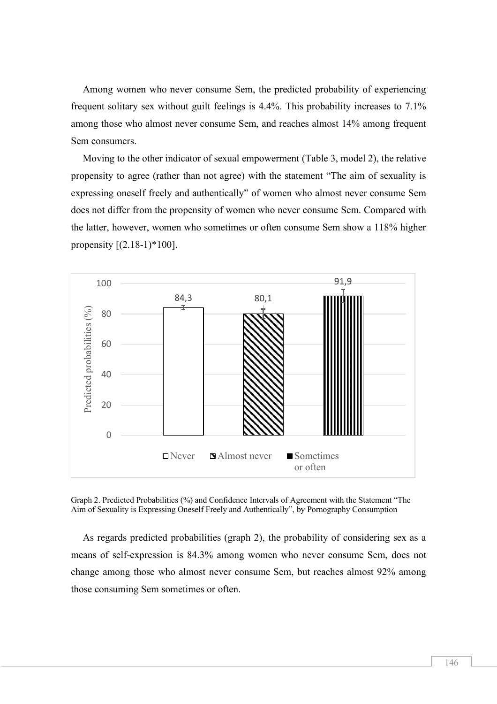Among women who never consume Sem, the predicted probability of experiencing frequent solitary sex without guilt feelings is 4.4%. This probability increases to 7.1% among those who almost never consume Sem, and reaches almost 14% among frequent Sem consumers.

Moving to the other indicator of sexual empowerment (Table 3, model 2), the relative propensity to agree (rather than not agree) with the statement "The aim of sexuality is expressing oneself freely and authentically" of women who almost never consume Sem does not differ from the propensity of women who never consume Sem. Compared with the latter, however, women who sometimes or often consume Sem show a 118% higher propensity  $[(2.18-1)*100]$ .



Graph 2. Predicted Probabilities (%) and Confidence Intervals of Agreement with the Statement "The Aim of Sexuality is Expressing Oneself Freely and Authentically", by Pornography Consumption

As regards predicted probabilities (graph 2), the probability of considering sex as a means of self-expression is 84.3% among women who never consume Sem, does not change among those who almost never consume Sem, but reaches almost 92% among those consuming Sem sometimes or often.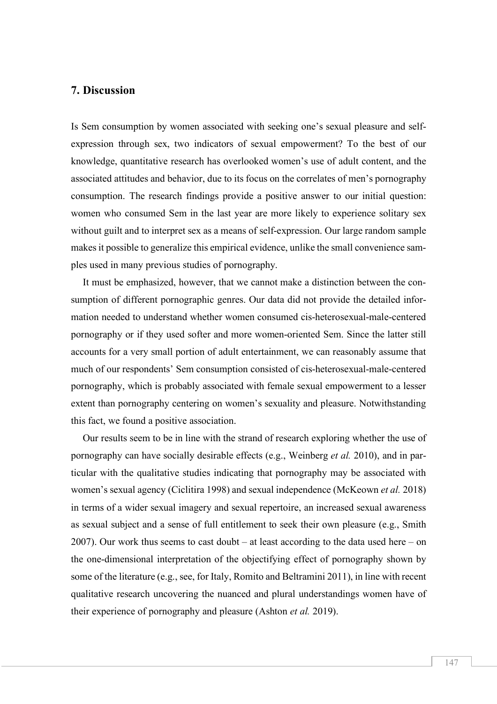#### **7. Discussion**

Is Sem consumption by women associated with seeking one's sexual pleasure and selfexpression through sex, two indicators of sexual empowerment? To the best of our knowledge, quantitative research has overlooked women's use of adult content, and the associated attitudes and behavior, due to its focus on the correlates of men's pornography consumption. The research findings provide a positive answer to our initial question: women who consumed Sem in the last year are more likely to experience solitary sex without guilt and to interpret sex as a means of self-expression. Our large random sample makes it possible to generalize this empirical evidence, unlike the small convenience samples used in many previous studies of pornography.

It must be emphasized, however, that we cannot make a distinction between the consumption of different pornographic genres. Our data did not provide the detailed information needed to understand whether women consumed cis-heterosexual-male-centered pornography or if they used softer and more women-oriented Sem. Since the latter still accounts for a very small portion of adult entertainment, we can reasonably assume that much of our respondents' Sem consumption consisted of cis-heterosexual-male-centered pornography, which is probably associated with female sexual empowerment to a lesser extent than pornography centering on women's sexuality and pleasure. Notwithstanding this fact, we found a positive association.

Our results seem to be in line with the strand of research exploring whether the use of pornography can have socially desirable effects (e.g., Weinberg *et al.* 2010), and in particular with the qualitative studies indicating that pornography may be associated with women's sexual agency (Ciclitira 1998) and sexual independence (McKeown *et al.* 2018) in terms of a wider sexual imagery and sexual repertoire, an increased sexual awareness as sexual subject and a sense of full entitlement to seek their own pleasure (e.g., Smith 2007). Our work thus seems to cast doubt – at least according to the data used here – on the one-dimensional interpretation of the objectifying effect of pornography shown by some of the literature (e.g., see, for Italy, Romito and Beltramini 2011), in line with recent qualitative research uncovering the nuanced and plural understandings women have of their experience of pornography and pleasure (Ashton *et al.* 2019).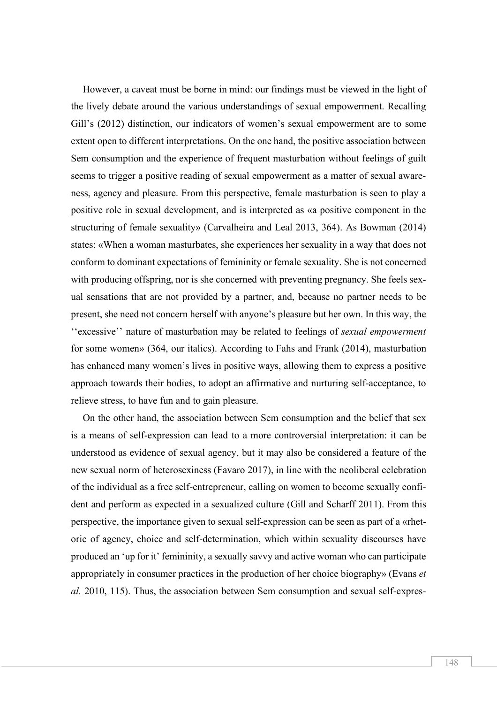However, a caveat must be borne in mind: our findings must be viewed in the light of the lively debate around the various understandings of sexual empowerment. Recalling Gill's (2012) distinction, our indicators of women's sexual empowerment are to some extent open to different interpretations. On the one hand, the positive association between Sem consumption and the experience of frequent masturbation without feelings of guilt seems to trigger a positive reading of sexual empowerment as a matter of sexual awareness, agency and pleasure. From this perspective, female masturbation is seen to play a positive role in sexual development, and is interpreted as «a positive component in the structuring of female sexuality» (Carvalheira and Leal 2013, 364). As Bowman (2014) states: «When a woman masturbates, she experiences her sexuality in a way that does not conform to dominant expectations of femininity or female sexuality. She is not concerned with producing offspring, nor is she concerned with preventing pregnancy. She feels sexual sensations that are not provided by a partner, and, because no partner needs to be present, she need not concern herself with anyone's pleasure but her own. In this way, the ''excessive'' nature of masturbation may be related to feelings of *sexual empowerment* for some women» (364, our italics). According to Fahs and Frank (2014), masturbation has enhanced many women's lives in positive ways, allowing them to express a positive approach towards their bodies, to adopt an affirmative and nurturing self-acceptance, to relieve stress, to have fun and to gain pleasure.

On the other hand, the association between Sem consumption and the belief that sex is a means of self-expression can lead to a more controversial interpretation: it can be understood as evidence of sexual agency, but it may also be considered a feature of the new sexual norm of heterosexiness (Favaro 2017), in line with the neoliberal celebration of the individual as a free self-entrepreneur, calling on women to become sexually confident and perform as expected in a sexualized culture (Gill and Scharff 2011). From this perspective, the importance given to sexual self-expression can be seen as part of a «rhetoric of agency, choice and self-determination, which within sexuality discourses have produced an 'up for it' femininity, a sexually savvy and active woman who can participate appropriately in consumer practices in the production of her choice biography» (Evans *et al.* 2010, 115). Thus, the association between Sem consumption and sexual self-expres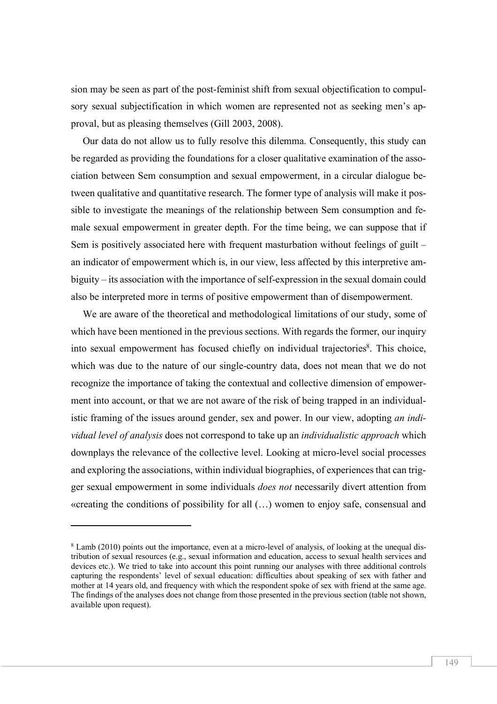sion may be seen as part of the post-feminist shift from sexual objectification to compulsory sexual subjectification in which women are represented not as seeking men's approval, but as pleasing themselves (Gill 2003, 2008).

Our data do not allow us to fully resolve this dilemma. Consequently, this study can be regarded as providing the foundations for a closer qualitative examination of the association between Sem consumption and sexual empowerment, in a circular dialogue between qualitative and quantitative research. The former type of analysis will make it possible to investigate the meanings of the relationship between Sem consumption and female sexual empowerment in greater depth. For the time being, we can suppose that if Sem is positively associated here with frequent masturbation without feelings of guilt – an indicator of empowerment which is, in our view, less affected by this interpretive ambiguity – its association with the importance of self-expression in the sexual domain could also be interpreted more in terms of positive empowerment than of disempowerment.

We are aware of the theoretical and methodological limitations of our study, some of which have been mentioned in the previous sections. With regards the former, our inquiry into sexual empowerment has focused chiefly on individual trajectories<sup>8</sup>. This choice, which was due to the nature of our single-country data, does not mean that we do not recognize the importance of taking the contextual and collective dimension of empowerment into account, or that we are not aware of the risk of being trapped in an individualistic framing of the issues around gender, sex and power. In our view, adopting *an individual level of analysis* does not correspond to take up an *individualistic approach* which downplays the relevance of the collective level. Looking at micro-level social processes and exploring the associations, within individual biographies, of experiences that can trigger sexual empowerment in some individuals *does not* necessarily divert attention from «creating the conditions of possibility for all (…) women to enjoy safe, consensual and

 $\overline{a}$ 

<sup>8</sup> Lamb (2010) points out the importance, even at a micro-level of analysis, of looking at the unequal distribution of sexual resources (e.g., sexual information and education, access to sexual health services and devices etc.). We tried to take into account this point running our analyses with three additional controls capturing the respondents' level of sexual education: difficulties about speaking of sex with father and mother at 14 years old, and frequency with which the respondent spoke of sex with friend at the same age. The findings of the analyses does not change from those presented in the previous section (table not shown, available upon request).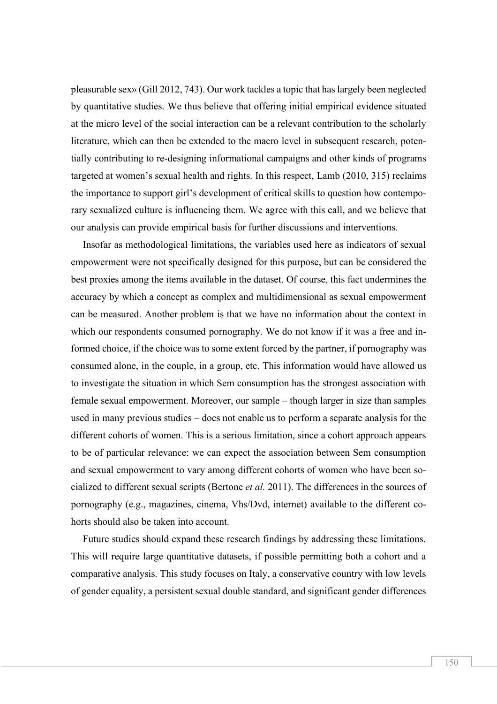pleasurable sex» (Gill 2012, 743). Our work tackles a topic that has largely been neglected by quantitative studies. We thus believe that offering initial empirical evidence situated at the micro level of the social interaction can be a relevant contribution to the scholarly literature, which can then be extended to the macro level in subsequent research, potentially contributing to re-designing informational campaigns and other kinds of programs targeted at women's sexual health and rights. In this respect, Lamb (2010, 315) reclaims the importance to support girl's development of critical skills to question how contemporary sexualized culture is influencing them. We agree with this call, and we believe that our analysis can provide empirical basis for further discussions and interventions.

Insofar as methodological limitations, the variables used here as indicators of sexual empowerment were not specifically designed for this purpose, but can be considered the best proxies among the items available in the dataset. Of course, this fact undermines the accuracy by which a concept as complex and multidimensional as sexual empowerment can be measured. Another problem is that we have no information about the context in which our respondents consumed pornography. We do not know if it was a free and informed choice, if the choice was to some extent forced by the partner, if pornography was consumed alone, in the couple, in a group, etc. This information would have allowed us to investigate the situation in which Sem consumption has the strongest association with female sexual empowerment. Moreover, our sample – though larger in size than samples used in many previous studies – does not enable us to perform a separate analysis for the different cohorts of women. This is a serious limitation, since a cohort approach appears to be of particular relevance: we can expect the association between Sem consumption and sexual empowerment to vary among different cohorts of women who have been socialized to different sexual scripts (Bertone *et al.* 2011). The differences in the sources of pornography (e.g., magazines, cinema, Vhs/Dvd, internet) available to the different cohorts should also be taken into account.

Future studies should expand these research findings by addressing these limitations. This will require large quantitative datasets, if possible permitting both a cohort and a comparative analysis. This study focuses on Italy, a conservative country with low levels of gender equality, a persistent sexual double standard, and significant gender differences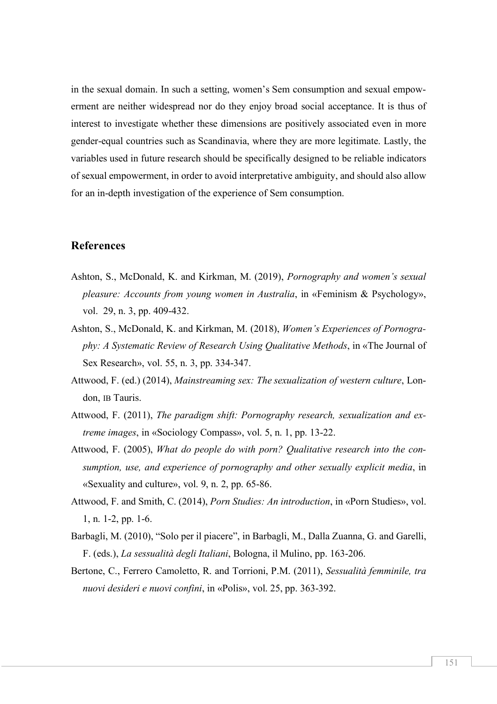in the sexual domain. In such a setting, women's Sem consumption and sexual empowerment are neither widespread nor do they enjoy broad social acceptance. It is thus of interest to investigate whether these dimensions are positively associated even in more gender-equal countries such as Scandinavia, where they are more legitimate. Lastly, the variables used in future research should be specifically designed to be reliable indicators of sexual empowerment, in order to avoid interpretative ambiguity, and should also allow for an in-depth investigation of the experience of Sem consumption.

#### **References**

- Ashton, S., McDonald, K. and Kirkman, M. (2019), *Pornography and women's sexual pleasure: Accounts from young women in Australia*, in «Feminism & Psychology», vol. 29, n. 3, pp. 409-432.
- Ashton, S., McDonald, K. and Kirkman, M. (2018), *Women's Experiences of Pornography: A Systematic Review of Research Using Qualitative Methods*, in «The Journal of Sex Research», vol. 55, n. 3, pp. 334-347.
- Attwood, F. (ed.) (2014), *Mainstreaming sex: The sexualization of western culture*, London, IB Tauris.
- Attwood, F. (2011), *The paradigm shift: Pornography research, sexualization and extreme images*, in «Sociology Compass», vol. 5, n. 1, pp. 13-22.
- Attwood, F. (2005), *What do people do with porn? Qualitative research into the consumption, use, and experience of pornography and other sexually explicit media*, in «Sexuality and culture», vol. 9, n. 2, pp. 65-86.
- Attwood, F. and Smith, C. (2014), *Porn Studies: An introduction*, in «Porn Studies», vol. 1, n. 1-2, pp. 1-6.
- Barbagli, M. (2010), "Solo per il piacere", in Barbagli, M., Dalla Zuanna, G. and Garelli, F. (eds.), *La sessualità degli Italiani*, Bologna, il Mulino, pp. 163-206.
- Bertone, C., Ferrero Camoletto, R. and Torrioni, P.M. (2011), *Sessualità femminile, tra nuovi desideri e nuovi confini*, in «Polis», vol. 25, pp. 363-392.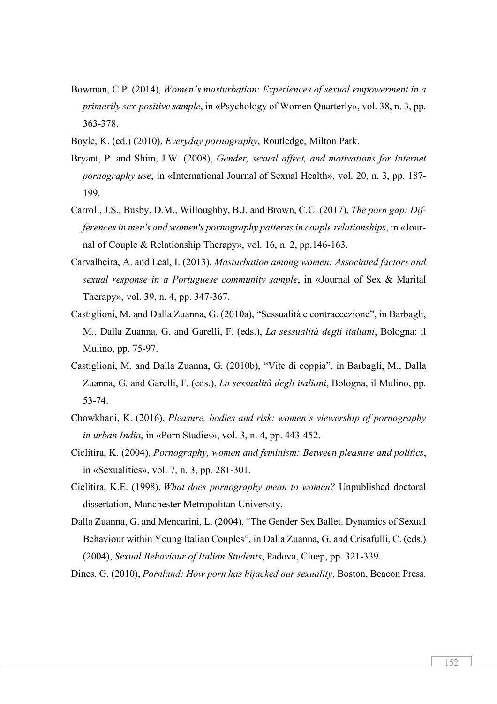- Bowman, C.P. (2014), *Women's masturbation: Experiences of sexual empowerment in a primarily sex-positive sample*, in «Psychology of Women Quarterly», vol. 38, n. 3, pp. 363-378.
- Boyle, K. (ed.) (2010), *Everyday pornography*, Routledge, Milton Park.
- Bryant, P. and Shim, J.W. (2008), *Gender, sexual affect, and motivations for Internet pornography use*, in «International Journal of Sexual Health», vol. 20, n. 3, pp. 187- 199.
- Carroll, J.S., Busby, D.M., Willoughby, B.J. and Brown, C.C. (2017), *The porn gap: Differences in men's and women's pornography patterns in couple relationships*, in «Journal of Couple & Relationship Therapy», vol. 16, n. 2, pp.146-163.
- Carvalheira, A. and Leal, I. (2013), *Masturbation among women: Associated factors and sexual response in a Portuguese community sample*, in «Journal of Sex & Marital Therapy», vol. 39, n. 4, pp. 347-367.
- Castiglioni, M. and Dalla Zuanna, G. (2010a), "Sessualità e contraccezione", in Barbagli, M., Dalla Zuanna, G. and Garelli, F. (eds.), *La sessualità degli italiani*, Bologna: il Mulino, pp. 75-97.
- Castiglioni, M. and Dalla Zuanna, G. (2010b), "Vite di coppia", in Barbagli, M., Dalla Zuanna, G. and Garelli, F. (eds.), *La sessualità degli italiani*, Bologna, il Mulino, pp. 53-74.
- Chowkhani, K. (2016), *Pleasure, bodies and risk: women's viewership of pornography in urban India*, in «Porn Studies», vol. 3, n. 4, pp. 443-452.
- Ciclitira, K. (2004), *Pornography, women and feminism: Between pleasure and politics*, in «Sexualities», vol. 7, n. 3, pp. 281-301.
- Ciclitira, K.E. (1998), *What does pornography mean to women?* Unpublished doctoral dissertation, Manchester Metropolitan University.
- Dalla Zuanna, G. and Mencarini, L. (2004), "The Gender Sex Ballet. Dynamics of Sexual Behaviour within Young Italian Couples", in Dalla Zuanna, G. and Crisafulli, C. (eds.) (2004), *Sexual Behaviour of Italian Students*, Padova, Cluep, pp. 321-339.

Dines, G. (2010), *Pornland: How porn has hijacked our sexuality*, Boston, Beacon Press.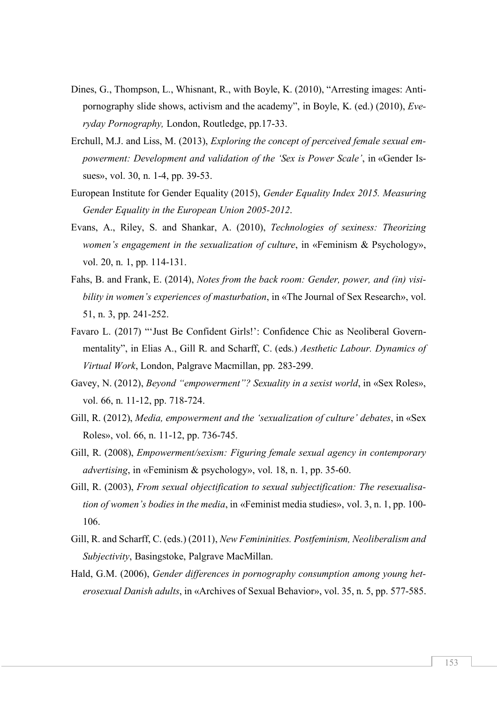- Dines, G., Thompson, L., Whisnant, R., with Boyle, K. (2010), "Arresting images: Antipornography slide shows, activism and the academy", in Boyle, K. (ed.) (2010), *Everyday Pornography,* London, Routledge, pp.17-33.
- Erchull, M.J. and Liss, M. (2013), *Exploring the concept of perceived female sexual empowerment: Development and validation of the 'Sex is Power Scale'*, in «Gender Issues», vol. 30, n. 1-4, pp. 39-53.
- European Institute for Gender Equality (2015), *Gender Equality Index 2015. Measuring Gender Equality in the European Union 2005-2012*.
- Evans, A., Riley, S. and Shankar, A. (2010), *Technologies of sexiness: Theorizing women's engagement in the sexualization of culture*, in «Feminism & Psychology», vol. 20, n. 1, pp. 114-131.
- Fahs, B. and Frank, E. (2014), *Notes from the back room: Gender, power, and (in) visibility in women's experiences of masturbation*, in «The Journal of Sex Research», vol. 51, n. 3, pp. 241-252.
- Favaro L. (2017) "'Just Be Confident Girls!': Confidence Chic as Neoliberal Governmentality", in Elias A., Gill R. and Scharff, C. (eds.) *Aesthetic Labour. Dynamics of Virtual Work*, London, Palgrave Macmillan, pp. 283-299.
- Gavey, N. (2012), *Beyond "empowerment"? Sexuality in a sexist world*, in «Sex Roles», vol. 66, n. 11-12, pp. 718-724.
- Gill, R. (2012), *Media, empowerment and the 'sexualization of culture' debates*, in «Sex Roles», vol. 66, n. 11-12, pp. 736-745.
- Gill, R. (2008), *Empowerment/sexism: Figuring female sexual agency in contemporary advertising*, in «Feminism & psychology», vol. 18, n. 1, pp. 35-60.
- Gill, R. (2003), *From sexual objectification to sexual subjectification: The resexualisation of women's bodies in the media*, in «Feminist media studies», vol. 3, n. 1, pp. 100- 106.
- Gill, R. and Scharff, C. (eds.) (2011), *New Femininities. Postfeminism, Neoliberalism and Subjectivity*, Basingstoke, Palgrave MacMillan.
- Hald, G.M. (2006), *Gender differences in pornography consumption among young heterosexual Danish adults*, in «Archives of Sexual Behavior», vol. 35, n. 5, pp. 577-585.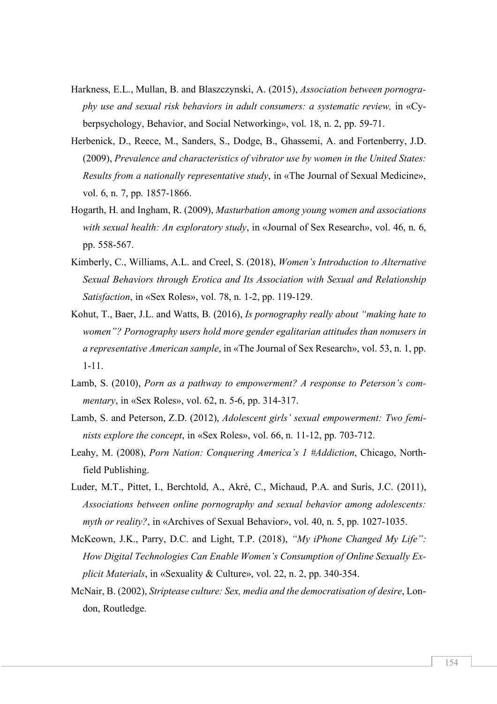- Harkness, E.L., Mullan, B. and Blaszczynski, A. (2015), *Association between pornography use and sexual risk behaviors in adult consumers: a systematic review,* in «Cyberpsychology, Behavior, and Social Networking», vol. 18, n. 2, pp. 59-71.
- Herbenick, D., Reece, M., Sanders, S., Dodge, B., Ghassemi, A. and Fortenberry, J.D. (2009), *Prevalence and characteristics of vibrator use by women in the United States: Results from a nationally representative study*, in «The Journal of Sexual Medicine», vol. 6, n. 7, pp. 1857-1866.
- Hogarth, H. and Ingham, R. (2009), *Masturbation among young women and associations with sexual health: An exploratory study*, in «Journal of Sex Research», vol. 46, n. 6, pp. 558-567.
- Kimberly, C., Williams, A.L. and Creel, S. (2018), *Women's Introduction to Alternative Sexual Behaviors through Erotica and Its Association with Sexual and Relationship Satisfaction*, in «Sex Roles», vol. 78, n. 1-2, pp. 119-129.
- Kohut, T., Baer, J.L. and Watts, B. (2016), *Is pornography really about "making hate to women"? Pornography users hold more gender egalitarian attitudes than nonusers in a representative American sample*, in «The Journal of Sex Research», vol. 53, n. 1, pp. 1-11.
- Lamb, S. (2010), *Porn as a pathway to empowerment? A response to Peterson's commentary*, in «Sex Roles», vol. 62, n. 5-6, pp. 314-317.
- Lamb, S. and Peterson, Z.D. (2012), *Adolescent girls' sexual empowerment: Two feminists explore the concept*, in «Sex Roles», vol. 66, n. 11-12, pp. 703-712.
- Leahy, M. (2008), *Porn Nation: Conquering America's 1 #Addiction*, Chicago, Northfield Publishing.
- Luder, M.T., Pittet, I., Berchtold, A., Akré, C., Michaud, P.A. and Surís, J.C. (2011), *Associations between online pornography and sexual behavior among adolescents: myth or reality?*, in «Archives of Sexual Behavior», vol. 40, n. 5, pp. 1027-1035.
- McKeown, J.K., Parry, D.C. and Light, T.P. (2018), *"My iPhone Changed My Life": How Digital Technologies Can Enable Women's Consumption of Online Sexually Explicit Materials*, in «Sexuality & Culture», vol. 22, n. 2, pp. 340-354.
- McNair, B. (2002), *Striptease culture: Sex, media and the democratisation of desire*, London, Routledge.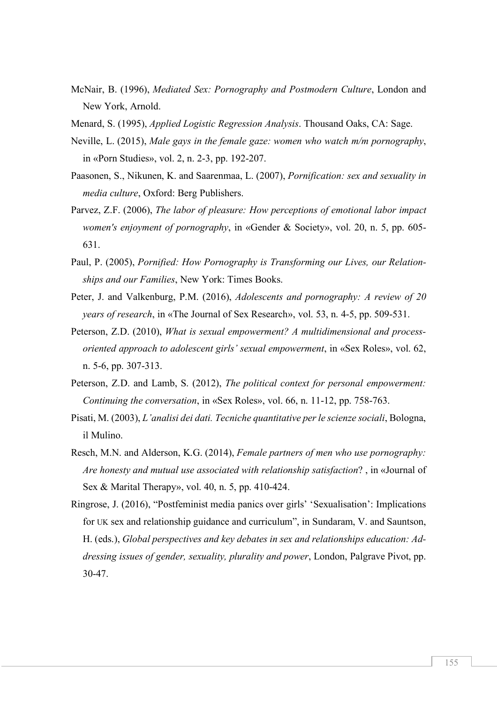- McNair, B. (1996), *Mediated Sex: Pornography and Postmodern Culture*, London and New York, Arnold.
- Menard, S. (1995), *Applied Logistic Regression Analysis*. Thousand Oaks, CA: Sage.
- Neville, L. (2015), *Male gays in the female gaze: women who watch m/m pornography*, in «Porn Studies», vol. 2, n. 2-3, pp. 192-207.
- Paasonen, S., Nikunen, K. and Saarenmaa, L. (2007), *Pornification: sex and sexuality in media culture*, Oxford: Berg Publishers.
- Parvez, Z.F. (2006), *The labor of pleasure: How perceptions of emotional labor impact women's enjoyment of pornography*, in «Gender & Society», vol. 20, n. 5, pp. 605- 631.
- Paul, P. (2005), *Pornified: How Pornography is Transforming our Lives, our Relationships and our Families*, New York: Times Books.
- Peter, J. and Valkenburg, P.M. (2016), *Adolescents and pornography: A review of 20 years of research*, in «The Journal of Sex Research», vol. 53, n. 4-5, pp. 509-531.
- Peterson, Z.D. (2010), *What is sexual empowerment? A multidimensional and processoriented approach to adolescent girls' sexual empowerment*, in «Sex Roles», vol. 62, n. 5-6, pp. 307-313.
- Peterson, Z.D. and Lamb, S. (2012), *The political context for personal empowerment: Continuing the conversation*, in «Sex Roles», vol. 66, n. 11-12, pp. 758-763.
- Pisati, M. (2003), *L'analisi dei dati. Tecniche quantitative per le scienze sociali*, Bologna, il Mulino.
- Resch, M.N. and Alderson, K.G. (2014), *Female partners of men who use pornography: Are honesty and mutual use associated with relationship satisfaction*? , in «Journal of Sex & Marital Therapy», vol. 40, n. 5, pp. 410-424.
- Ringrose, J. (2016), "Postfeminist media panics over girls' 'Sexualisation': Implications for UK sex and relationship guidance and curriculum", in Sundaram, V. and Sauntson, H. (eds.), *Global perspectives and key debates in sex and relationships education: Addressing issues of gender, sexuality, plurality and power*, London, Palgrave Pivot, pp. 30-47.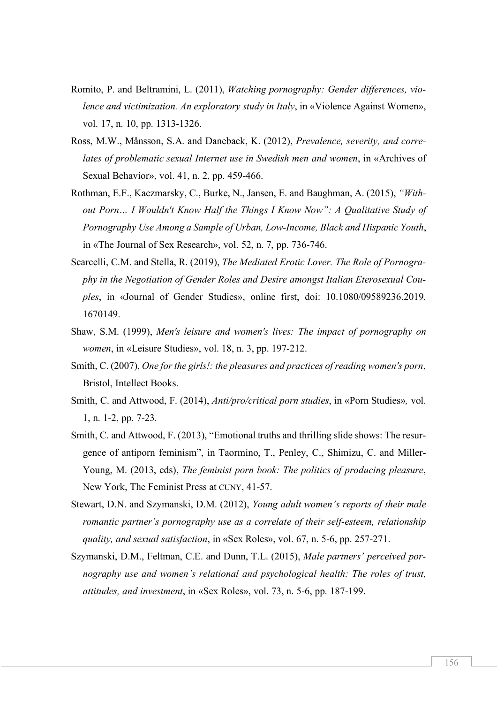- Romito, P. and Beltramini, L. (2011), *Watching pornography: Gender differences, violence and victimization. An exploratory study in Italy*, in «Violence Against Women», vol. 17, n. 10, pp. 1313-1326.
- Ross, M.W., Månsson, S.A. and Daneback, K. (2012), *Prevalence, severity, and correlates of problematic sexual Internet use in Swedish men and women*, in «Archives of Sexual Behavior», vol. 41, n. 2, pp. 459-466.
- Rothman, E.F., Kaczmarsky, C., Burke, N., Jansen, E. and Baughman, A. (2015), *"Without Porn… I Wouldn't Know Half the Things I Know Now": A Qualitative Study of Pornography Use Among a Sample of Urban, Low-Income, Black and Hispanic Youth*, in «The Journal of Sex Research», vol. 52, n. 7, pp. 736-746.
- Scarcelli, C.M. and Stella, R. (2019), *The Mediated Erotic Lover. The Role of Pornography in the Negotiation of Gender Roles and Desire amongst Italian Eterosexual Couples*, in «Journal of Gender Studies», online first, doi: 10.1080/09589236.2019. 1670149.
- Shaw, S.M. (1999), *Men's leisure and women's lives: The impact of pornography on women*, in «Leisure Studies», vol. 18, n. 3, pp. 197-212.
- Smith, C. (2007), *One for the girls!: the pleasures and practices of reading women's porn*, Bristol, Intellect Books.
- Smith, C. and Attwood, F. (2014), *Anti/pro/critical porn studies*, in «Porn Studies»*,* vol. 1, n. 1-2, pp. 7-23*.*
- Smith, C. and Attwood, F. (2013), "Emotional truths and thrilling slide shows: The resurgence of antiporn feminism", in Taormino, T., Penley, C., Shimizu, C. and Miller-Young, M. (2013, eds), *The feminist porn book: The politics of producing pleasure*, New York, The Feminist Press at CUNY, 41-57.
- Stewart, D.N. and Szymanski, D.M. (2012), *Young adult women's reports of their male romantic partner's pornography use as a correlate of their self-esteem, relationship quality, and sexual satisfaction*, in «Sex Roles», vol. 67, n. 5-6, pp. 257-271.
- Szymanski, D.M., Feltman, C.E. and Dunn, T.L. (2015), *Male partners' perceived pornography use and women's relational and psychological health: The roles of trust, attitudes, and investment*, in «Sex Roles», vol. 73, n. 5-6, pp. 187-199.